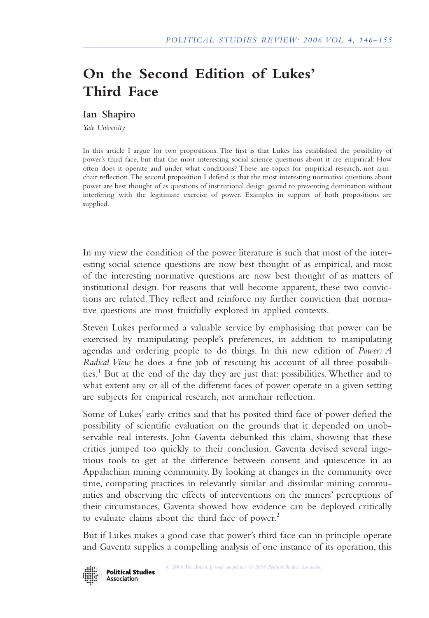# **On the Second Edition of Lukes' Third Face**

## **Ian Shapiro**

*Yale University*

In this article I argue for two propositions. The first is that Lukes has established the possibility of power's third face, but that the most interesting social science questions about it are empirical: How often does it operate and under what conditions? These are topics for empirical research, not armchair reflection.The second proposition I defend is that the most interesting normative questions about power are best thought of as questions of institutional design geared to preventing domination without interfering with the legitimate exercise of power. Examples in support of both propositions are supplied.

In my view the condition of the power literature is such that most of the interesting social science questions are now best thought of as empirical, and most of the interesting normative questions are now best thought of as matters of institutional design. For reasons that will become apparent, these two convictions are related.They reflect and reinforce my further conviction that normative questions are most fruitfully explored in applied contexts.

Steven Lukes performed a valuable service by emphasising that power can be exercised by manipulating people's preferences, in addition to manipulating agendas and ordering people to do things. In this new edition of *Power: A Radical View* he does a fine job of rescuing his account of all three possibilities.<sup>1</sup> But at the end of the day they are just that: possibilities. Whether and to what extent any or all of the different faces of power operate in a given setting are subjects for empirical research, not armchair reflection.

Some of Lukes' early critics said that his posited third face of power defied the possibility of scientific evaluation on the grounds that it depended on unobservable real interests. John Gaventa debunked this claim, showing that these critics jumped too quickly to their conclusion. Gaventa devised several ingenious tools to get at the difference between consent and quiescence in an Appalachian mining community. By looking at changes in the community over time, comparing practices in relevantly similar and dissimilar mining communities and observing the effects of interventions on the miners' perceptions of their circumstances, Gaventa showed how evidence can be deployed critically to evaluate claims about the third face of power. $<sup>2</sup>$ </sup>

But if Lukes makes a good case that power's third face can in principle operate and Gaventa supplies a compelling analysis of one instance of its operation, this

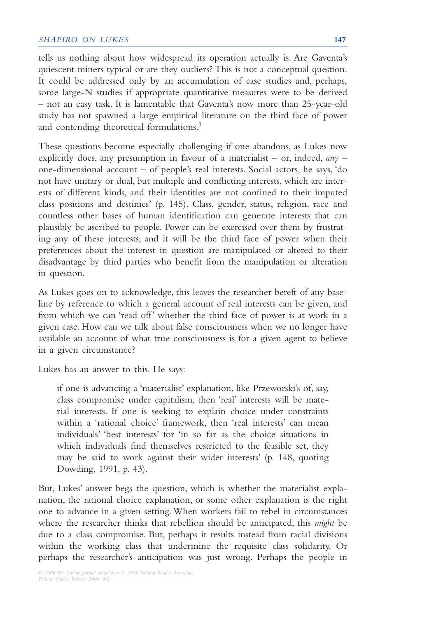tells us nothing about how widespread its operation actually is. Are Gaventa's quiescent miners typical or are they outliers? This is not a conceptual question. It could be addressed only by an accumulation of case studies and, perhaps, some large-N studies if appropriate quantitative measures were to be derived – not an easy task. It is lamentable that Gaventa's now more than 25-year-old study has not spawned a large empirical literature on the third face of power and contending theoretical formulations.<sup>3</sup>

These questions become especially challenging if one abandons, as Lukes now explicitly does, any presumption in favour of a materialist – or, indeed, *any* – one-dimensional account – of people's real interests. Social actors, he says, 'do not have unitary or dual, but multiple and conflicting interests, which are interests of different kinds, and their identities are not confined to their imputed class positions and destinies' (p. 145). Class, gender, status, religion, race and countless other bases of human identification can generate interests that can plausibly be ascribed to people. Power can be exercised over them by frustrating any of these interests, and it will be the third face of power when their preferences about the interest in question are manipulated or altered to their disadvantage by third parties who benefit from the manipulation or alteration in question.

As Lukes goes on to acknowledge, this leaves the researcher bereft of any baseline by reference to which a general account of real interests can be given, and from which we can 'read off' whether the third face of power is at work in a given case. How can we talk about false consciousness when we no longer have available an account of what true consciousness is for a given agent to believe in a given circumstance?

Lukes has an answer to this. He says:

if one is advancing a 'materialist' explanation, like Przeworski's of, say, class compromise under capitalism, then 'real' interests will be material interests. If one is seeking to explain choice under constraints within a 'rational choice' framework, then 'real interests' can mean individuals' 'best interests' for 'in so far as the choice situations in which individuals find themselves restricted to the feasible set, they may be said to work against their wider interests' (p. 148, quoting Dowding, 1991, p. 43).

But, Lukes' answer begs the question, which is whether the materialist explanation, the rational choice explanation, or some other explanation is the right one to advance in a given setting.When workers fail to rebel in circumstances where the researcher thinks that rebellion should be anticipated, this *might* be due to a class compromise. But, perhaps it results instead from racial divisions within the working class that undermine the requisite class solidarity. Or perhaps the researcher's anticipation was just wrong. Perhaps the people in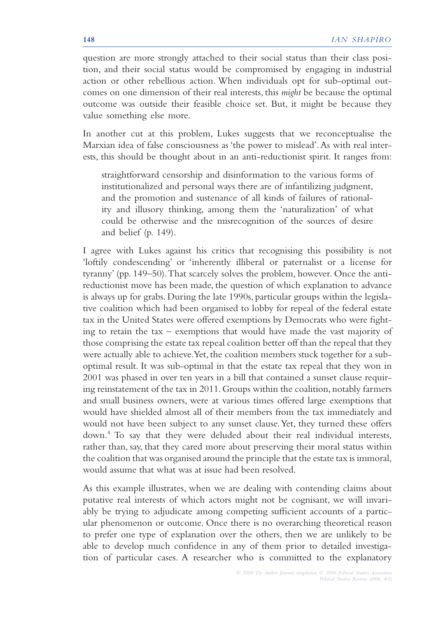question are more strongly attached to their social status than their class position, and their social status would be compromised by engaging in industrial action or other rebellious action. When individuals opt for sub-optimal outcomes on one dimension of their real interests, this *might* be because the optimal outcome was outside their feasible choice set. But, it might be because they value something else more.

In another cut at this problem, Lukes suggests that we reconceptualise the Marxian idea of false consciousness as 'the power to mislead'.As with real interests, this should be thought about in an anti-reductionist spirit. It ranges from:

straightforward censorship and disinformation to the various forms of institutionalized and personal ways there are of infantilizing judgment, and the promotion and sustenance of all kinds of failures of rationality and illusory thinking, among them the 'naturalization' of what could be otherwise and the misrecognition of the sources of desire and belief (p. 149).

I agree with Lukes against his critics that recognising this possibility is not 'loftily condescending' or 'inherently illiberal or paternalist or a license for tyranny' (pp. 149–50).That scarcely solves the problem, however. Once the antireductionist move has been made, the question of which explanation to advance is always up for grabs. During the late 1990s, particular groups within the legislative coalition which had been organised to lobby for repeal of the federal estate tax in the United States were offered exemptions by Democrats who were fighting to retain the tax – exemptions that would have made the vast majority of those comprising the estate tax repeal coalition better off than the repeal that they were actually able to achieve.Yet, the coalition members stuck together for a suboptimal result. It was sub-optimal in that the estate tax repeal that they won in 2001 was phased in over ten years in a bill that contained a sunset clause requiring reinstatement of the tax in 2011. Groups within the coalition, notably farmers and small business owners, were at various times offered large exemptions that would have shielded almost all of their members from the tax immediately and would not have been subject to any sunset clause.Yet, they turned these offers down.<sup>4</sup> To say that they were deluded about their real individual interests, rather than, say, that they cared more about preserving their moral status within the coalition that was organised around the principle that the estate tax is immoral, would assume that what was at issue had been resolved.

As this example illustrates, when we are dealing with contending claims about putative real interests of which actors might not be cognisant, we will invariably be trying to adjudicate among competing sufficient accounts of a particular phenomenon or outcome. Once there is no overarching theoretical reason to prefer one type of explanation over the others, then we are unlikely to be able to develop much confidence in any of them prior to detailed investigation of particular cases. A researcher who is committed to the explanatory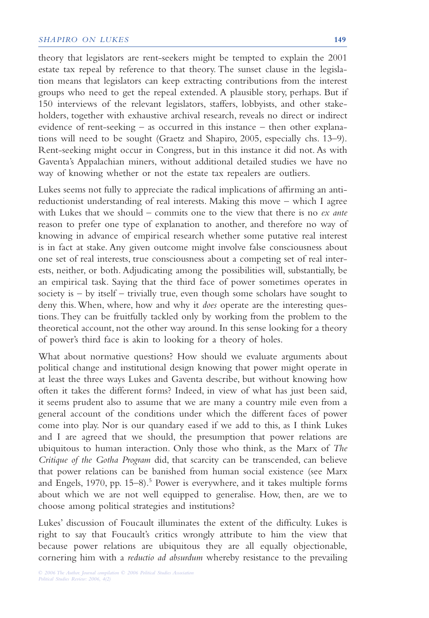theory that legislators are rent-seekers might be tempted to explain the 2001 estate tax repeal by reference to that theory. The sunset clause in the legislation means that legislators can keep extracting contributions from the interest groups who need to get the repeal extended. A plausible story, perhaps. But if 150 interviews of the relevant legislators, staffers, lobbyists, and other stakeholders, together with exhaustive archival research, reveals no direct or indirect evidence of rent-seeking – as occurred in this instance – then other explanations will need to be sought (Graetz and Shapiro, 2005, especially chs. 13–9). Rent-seeking might occur in Congress, but in this instance it did not. As with Gaventa's Appalachian miners, without additional detailed studies we have no way of knowing whether or not the estate tax repealers are outliers.

Lukes seems not fully to appreciate the radical implications of affirming an antireductionist understanding of real interests. Making this move – which I agree with Lukes that we should – commits one to the view that there is no *ex ante* reason to prefer one type of explanation to another, and therefore no way of knowing in advance of empirical research whether some putative real interest is in fact at stake. Any given outcome might involve false consciousness about one set of real interests, true consciousness about a competing set of real interests, neither, or both. Adjudicating among the possibilities will, substantially, be an empirical task. Saying that the third face of power sometimes operates in society is – by itself – trivially true, even though some scholars have sought to deny this.When, where, how and why it *does* operate are the interesting questions.They can be fruitfully tackled only by working from the problem to the theoretical account, not the other way around. In this sense looking for a theory of power's third face is akin to looking for a theory of holes.

What about normative questions? How should we evaluate arguments about political change and institutional design knowing that power might operate in at least the three ways Lukes and Gaventa describe, but without knowing how often it takes the different forms? Indeed, in view of what has just been said, it seems prudent also to assume that we are many a country mile even from a general account of the conditions under which the different faces of power come into play. Nor is our quandary eased if we add to this, as I think Lukes and I are agreed that we should, the presumption that power relations are ubiquitous to human interaction. Only those who think, as the Marx of *The Critique of the Gotha Program* did, that scarcity can be transcended, can believe that power relations can be banished from human social existence (see Marx and Engels,  $1970$ , pp.  $15-8$ ).<sup>5</sup> Power is everywhere, and it takes multiple forms about which we are not well equipped to generalise. How, then, are we to choose among political strategies and institutions?

Lukes' discussion of Foucault illuminates the extent of the difficulty. Lukes is right to say that Foucault's critics wrongly attribute to him the view that because power relations are ubiquitous they are all equally objectionable, cornering him with a *reductio ad absurdum* whereby resistance to the prevailing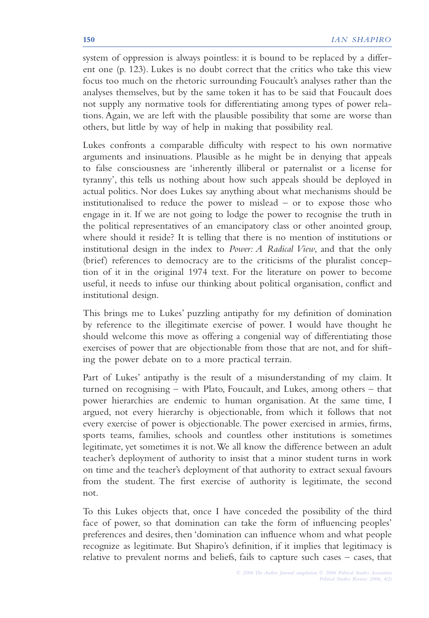system of oppression is always pointless: it is bound to be replaced by a different one (p. 123). Lukes is no doubt correct that the critics who take this view focus too much on the rhetoric surrounding Foucault's analyses rather than the analyses themselves, but by the same token it has to be said that Foucault does not supply any normative tools for differentiating among types of power relations. Again, we are left with the plausible possibility that some are worse than others, but little by way of help in making that possibility real.

Lukes confronts a comparable difficulty with respect to his own normative arguments and insinuations. Plausible as he might be in denying that appeals to false consciousness are 'inherently illiberal or paternalist or a license for tyranny', this tells us nothing about how such appeals should be deployed in actual politics. Nor does Lukes say anything about what mechanisms should be institutionalised to reduce the power to mislead – or to expose those who engage in it. If we are not going to lodge the power to recognise the truth in the political representatives of an emancipatory class or other anointed group, where should it reside? It is telling that there is no mention of institutions or institutional design in the index to *Power: A Radical View*, and that the only (brief) references to democracy are to the criticisms of the pluralist conception of it in the original 1974 text. For the literature on power to become useful, it needs to infuse our thinking about political organisation, conflict and institutional design.

This brings me to Lukes' puzzling antipathy for my definition of domination by reference to the illegitimate exercise of power. I would have thought he should welcome this move as offering a congenial way of differentiating those exercises of power that are objectionable from those that are not, and for shifting the power debate on to a more practical terrain.

Part of Lukes' antipathy is the result of a misunderstanding of my claim. It turned on recognising – with Plato, Foucault, and Lukes, among others – that power hierarchies are endemic to human organisation. At the same time, I argued, not every hierarchy is objectionable, from which it follows that not every exercise of power is objectionable.The power exercised in armies, firms, sports teams, families, schools and countless other institutions is sometimes legitimate, yet sometimes it is not.We all know the difference between an adult teacher's deployment of authority to insist that a minor student turns in work on time and the teacher's deployment of that authority to extract sexual favours from the student. The first exercise of authority is legitimate, the second not.

To this Lukes objects that, once I have conceded the possibility of the third face of power, so that domination can take the form of influencing peoples' preferences and desires, then 'domination can influence whom and what people recognize as legitimate. But Shapiro's definition, if it implies that legitimacy is relative to prevalent norms and beliefs, fails to capture such cases – cases, that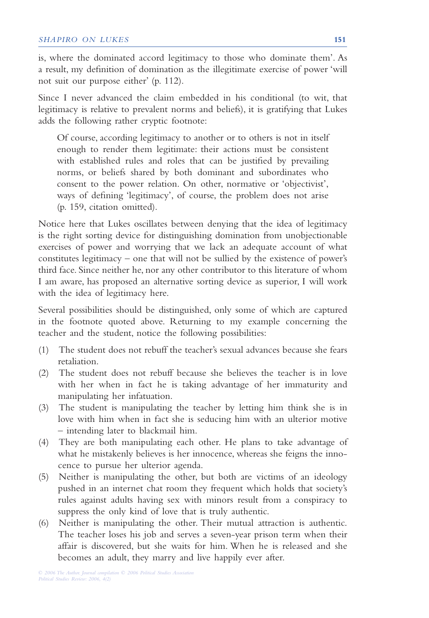is, where the dominated accord legitimacy to those who dominate them'. As a result, my definition of domination as the illegitimate exercise of power 'will not suit our purpose either' (p. 112).

Since I never advanced the claim embedded in his conditional (to wit, that legitimacy is relative to prevalent norms and beliefs), it is gratifying that Lukes adds the following rather cryptic footnote:

Of course, according legitimacy to another or to others is not in itself enough to render them legitimate: their actions must be consistent with established rules and roles that can be justified by prevailing norms, or beliefs shared by both dominant and subordinates who consent to the power relation. On other, normative or 'objectivist', ways of defining 'legitimacy', of course, the problem does not arise (p. 159, citation omitted).

Notice here that Lukes oscillates between denying that the idea of legitimacy is the right sorting device for distinguishing domination from unobjectionable exercises of power and worrying that we lack an adequate account of what constitutes legitimacy – one that will not be sullied by the existence of power's third face. Since neither he, nor any other contributor to this literature of whom I am aware, has proposed an alternative sorting device as superior, I will work with the idea of legitimacy here.

Several possibilities should be distinguished, only some of which are captured in the footnote quoted above. Returning to my example concerning the teacher and the student, notice the following possibilities:

- (1) The student does not rebuff the teacher's sexual advances because she fears retaliation.
- (2) The student does not rebuff because she believes the teacher is in love with her when in fact he is taking advantage of her immaturity and manipulating her infatuation.
- (3) The student is manipulating the teacher by letting him think she is in love with him when in fact she is seducing him with an ulterior motive – intending later to blackmail him.
- (4) They are both manipulating each other. He plans to take advantage of what he mistakenly believes is her innocence, whereas she feigns the innocence to pursue her ulterior agenda.
- (5) Neither is manipulating the other, but both are victims of an ideology pushed in an internet chat room they frequent which holds that society's rules against adults having sex with minors result from a conspiracy to suppress the only kind of love that is truly authentic.
- (6) Neither is manipulating the other. Their mutual attraction is authentic. The teacher loses his job and serves a seven-year prison term when their affair is discovered, but she waits for him. When he is released and she becomes an adult, they marry and live happily ever after.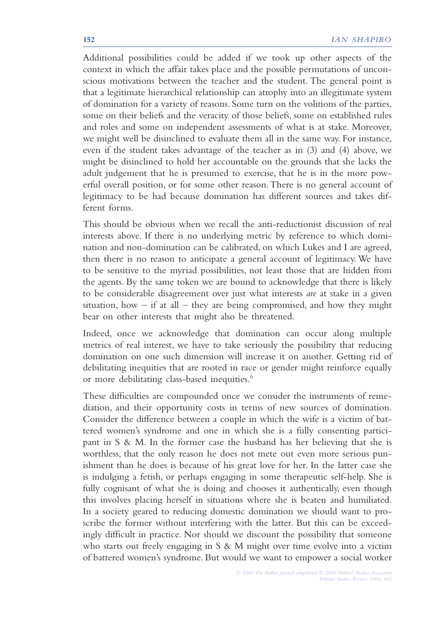Additional possibilities could be added if we took up other aspects of the context in which the affair takes place and the possible permutations of unconscious motivations between the teacher and the student. The general point is that a legitimate hierarchical relationship can atrophy into an illegitimate system of domination for a variety of reasons. Some turn on the volitions of the parties, some on their beliefs and the veracity of those beliefs, some on established rules and roles and some on independent assessments of what is at stake. Moreover, we might well be disinclined to evaluate them all in the same way. For instance, even if the student takes advantage of the teacher as in (3) and (4) above, we might be disinclined to hold her accountable on the grounds that she lacks the adult judgement that he is presumed to exercise, that he is in the more powerful overall position, or for some other reason.There is no general account of legitimacy to be had because domination has different sources and takes different forms.

This should be obvious when we recall the anti-reductionist discussion of real interests above. If there is no underlying metric by reference to which domination and non-domination can be calibrated, on which Lukes and I are agreed, then there is no reason to anticipate a general account of legitimacy. We have to be sensitive to the myriad possibilities, not least those that are hidden from the agents. By the same token we are bound to acknowledge that there is likely to be considerable disagreement over just what interests *are* at stake in a given situation, how – if at all – they are being compromised, and how they might bear on other interests that might also be threatened.

Indeed, once we acknowledge that domination can occur along multiple metrics of real interest, we have to take seriously the possibility that reducing domination on one such dimension will increase it on another. Getting rid of debilitating inequities that are rooted in race or gender might reinforce equally or more debilitating class-based inequities.<sup>6</sup>

These difficulties are compounded once we consider the instruments of remediation, and their opportunity costs in terms of new sources of domination. Consider the difference between a couple in which the wife is a victim of battered women's syndrome and one in which she is a fully consenting participant in S & M. In the former case the husband has her believing that she is worthless, that the only reason he does not mete out even more serious punishment than he does is because of his great love for her. In the latter case she is indulging a fetish, or perhaps engaging in some therapeutic self-help. She is fully cognisant of what she is doing and chooses it authentically, even though this involves placing herself in situations where she is beaten and humiliated. In a society geared to reducing domestic domination we should want to proscribe the former without interfering with the latter. But this can be exceedingly difficult in practice. Nor should we discount the possibility that someone who starts out freely engaging in  $S \& M$  might over time evolve into a victim of battered women's syndrome. But would we want to empower a social worker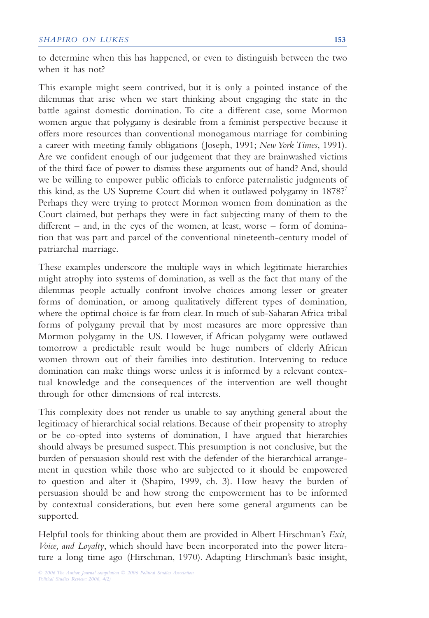to determine when this has happened, or even to distinguish between the two when it has not?

This example might seem contrived, but it is only a pointed instance of the dilemmas that arise when we start thinking about engaging the state in the battle against domestic domination. To cite a different case, some Mormon women argue that polygamy is desirable from a feminist perspective because it offers more resources than conventional monogamous marriage for combining a career with meeting family obligations (Joseph, 1991; *New York Times*, 1991). Are we confident enough of our judgement that they are brainwashed victims of the third face of power to dismiss these arguments out of hand? And, should we be willing to empower public officials to enforce paternalistic judgments of this kind, as the US Supreme Court did when it outlawed polygamy in 1878?<sup>7</sup> Perhaps they were trying to protect Mormon women from domination as the Court claimed, but perhaps they were in fact subjecting many of them to the different – and, in the eyes of the women, at least, worse – form of domination that was part and parcel of the conventional nineteenth-century model of patriarchal marriage.

These examples underscore the multiple ways in which legitimate hierarchies might atrophy into systems of domination, as well as the fact that many of the dilemmas people actually confront involve choices among lesser or greater forms of domination, or among qualitatively different types of domination, where the optimal choice is far from clear. In much of sub-Saharan Africa tribal forms of polygamy prevail that by most measures are more oppressive than Mormon polygamy in the US. However, if African polygamy were outlawed tomorrow a predictable result would be huge numbers of elderly African women thrown out of their families into destitution. Intervening to reduce domination can make things worse unless it is informed by a relevant contextual knowledge and the consequences of the intervention are well thought through for other dimensions of real interests.

This complexity does not render us unable to say anything general about the legitimacy of hierarchical social relations. Because of their propensity to atrophy or be co-opted into systems of domination, I have argued that hierarchies should always be presumed suspect.This presumption is not conclusive, but the burden of persuasion should rest with the defender of the hierarchical arrangement in question while those who are subjected to it should be empowered to question and alter it (Shapiro, 1999, ch. 3). How heavy the burden of persuasion should be and how strong the empowerment has to be informed by contextual considerations, but even here some general arguments can be supported.

Helpful tools for thinking about them are provided in Albert Hirschman's *Exit, Voice, and Loyalty*, which should have been incorporated into the power literature a long time ago (Hirschman, 1970). Adapting Hirschman's basic insight,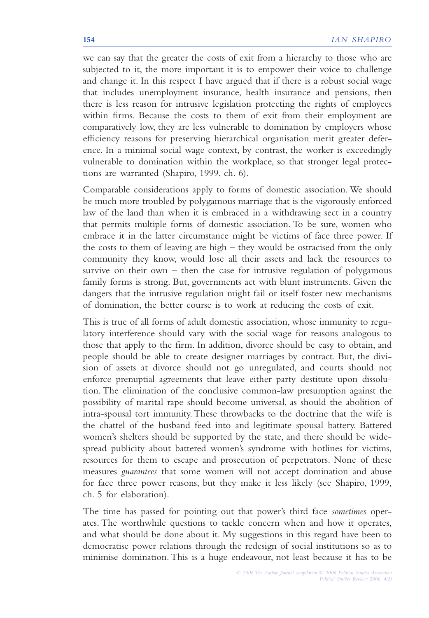we can say that the greater the costs of exit from a hierarchy to those who are subjected to it, the more important it is to empower their voice to challenge and change it. In this respect I have argued that if there is a robust social wage that includes unemployment insurance, health insurance and pensions, then there is less reason for intrusive legislation protecting the rights of employees within firms. Because the costs to them of exit from their employment are comparatively low, they are less vulnerable to domination by employers whose efficiency reasons for preserving hierarchical organisation merit greater deference. In a minimal social wage context, by contrast, the worker is exceedingly vulnerable to domination within the workplace, so that stronger legal protections are warranted (Shapiro, 1999, ch. 6).

Comparable considerations apply to forms of domestic association. We should be much more troubled by polygamous marriage that is the vigorously enforced law of the land than when it is embraced in a withdrawing sect in a country that permits multiple forms of domestic association. To be sure, women who embrace it in the latter circumstance might be victims of face three power. If the costs to them of leaving are high – they would be ostracised from the only community they know, would lose all their assets and lack the resources to survive on their own – then the case for intrusive regulation of polygamous family forms is strong. But, governments act with blunt instruments. Given the dangers that the intrusive regulation might fail or itself foster new mechanisms of domination, the better course is to work at reducing the costs of exit.

This is true of all forms of adult domestic association, whose immunity to regulatory interference should vary with the social wage for reasons analogous to those that apply to the firm. In addition, divorce should be easy to obtain, and people should be able to create designer marriages by contract. But, the division of assets at divorce should not go unregulated, and courts should not enforce prenuptial agreements that leave either party destitute upon dissolution. The elimination of the conclusive common-law presumption against the possibility of marital rape should become universal, as should the abolition of intra-spousal tort immunity. These throwbacks to the doctrine that the wife is the chattel of the husband feed into and legitimate spousal battery. Battered women's shelters should be supported by the state, and there should be widespread publicity about battered women's syndrome with hotlines for victims, resources for them to escape and prosecution of perpetrators. None of these measures *guarantees* that some women will not accept domination and abuse for face three power reasons, but they make it less likely (see Shapiro, 1999, ch. 5 for elaboration).

The time has passed for pointing out that power's third face *sometimes* operates. The worthwhile questions to tackle concern when and how it operates, and what should be done about it. My suggestions in this regard have been to democratise power relations through the redesign of social institutions so as to minimise domination. This is a huge endeavour, not least because it has to be